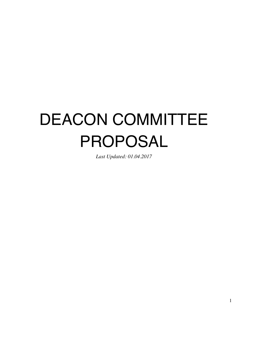# DEACON COMMITTEE PROPOSAL

*Last Updated: 01.04.2017*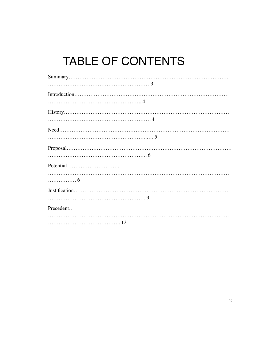# TABLE OF CONTENTS

| . 6       |
|-----------|
|           |
|           |
| Precedent |
|           |
|           |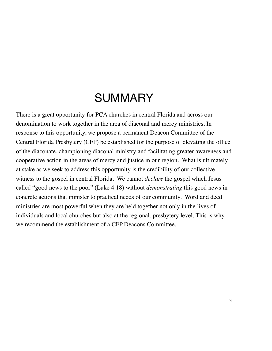### SUMMARY

There is a great opportunity for PCA churches in central Florida and across our denomination to work together in the area of diaconal and mercy ministries. In response to this opportunity, we propose a permanent Deacon Committee of the Central Florida Presbytery (CFP) be established for the purpose of elevating the office of the diaconate, championing diaconal ministry and facilitating greater awareness and cooperative action in the areas of mercy and justice in our region. What is ultimately at stake as we seek to address this opportunity is the credibility of our collective witness to the gospel in central Florida. We cannot *declare* the gospel which Jesus called "good news to the poor" (Luke 4:18) without *demonstrating* this good news in concrete actions that minister to practical needs of our community. Word and deed ministries are most powerful when they are held together not only in the lives of individuals and local churches but also at the regional, presbytery level. This is why we recommend the establishment of a CFP Deacons Committee.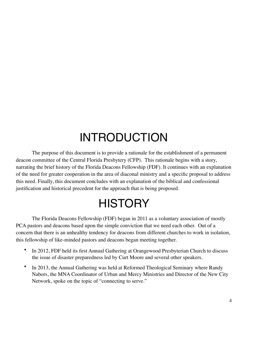### INTRODUCTION

The purpose of this document is to provide a rationale for the establishment of a permanent deacon committee of the Central Florida Presbytery (CFP). This rationale begins with a story, narrating the brief history of the Florida Deacons Fellowship (FDF). It continues with an explanation of the need for greater cooperation in the area of diaconal ministry and a specific proposal to address this need. Finally, this document concludes with an explanation of the biblical and confessional justification and historical precedent for the approach that is being proposed.

# **HISTORY**

The Florida Deacons Fellowship (FDF) began in 2011 as a voluntary association of mostly PCA pastors and deacons based upon the simple conviction that we need each other. Out of a concern that there is an unhealthy tendency for deacons from different churches to work in isolation, this fellowship of like-minded pastors and deacons began meeting together.

- In 2012, FDF held its first Annual Gathering at Orangewood Presbyterian Church to discuss the issue of disaster preparedness led by Curt Moore and several other speakers.
- In 2013, the Annual Gathering was held at Reformed Theological Seminary where Randy Nabors, the MNA Coordinator of Urban and Mercy Ministries and Director of the New City Network, spoke on the topic of "connecting to serve."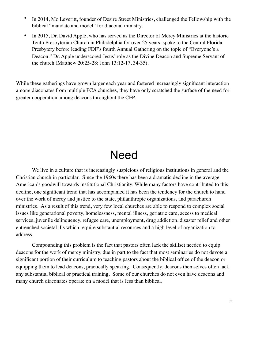- In 2014, Mo Leveritt**,** founder of Desire Street Ministries, challenged the Fellowship with the biblical "mandate and model" for diaconal ministry.
- In 2015, Dr. David Apple, who has served as the Director of Mercy Ministries at the historic Tenth Presbyterian Church in Philadelphia for over 25 years, spoke to the Central Florida Presbytery before leading FDF's fourth Annual Gathering on the topic of "Everyone's a Deacon." Dr. Apple underscored Jesus' role as the Divine Deacon and Supreme Servant of the church (Matthew 20:25-28; John 13:12-17, 34-35).

While these gatherings have grown larger each year and fostered increasingly significant interaction among diaconates from multiple PCA churches, they have only scratched the surface of the need for greater cooperation among deacons throughout the CFP.

### Need

We live in a culture that is increasingly suspicious of religious institutions in general and the Christian church in particular. Since the 1960s there has been a dramatic decline in the average American's goodwill towards institutional Christianity. While many factors have contributed to this decline, one significant trend that has accompanied it has been the tendency for the church to hand over the work of mercy and justice to the state, philanthropic organizations, and parachurch ministries. As a result of this trend, very few local churches are able to respond to complex social issues like generational poverty, homelessness, mental illness, geriatric care, access to medical services, juvenile delinquency, refugee care, unemployment, drug addiction, disaster relief and other entrenched societal ills which require substantial resources and a high level of organization to address.

Compounding this problem is the fact that pastors often lack the skillset needed to equip deacons for the work of mercy ministry, due in part to the fact that most seminaries do not devote a significant portion of their curriculum to teaching pastors about the biblical office of the deacon or equipping them to lead deacons, practically speaking. Consequently, deacons themselves often lack any substantial biblical or practical training. Some of our churches do not even have deacons and many church diaconates operate on a model that is less than biblical.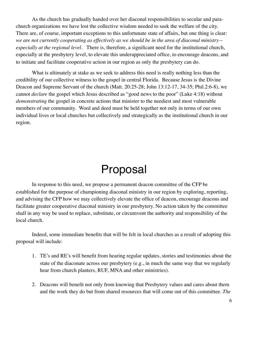As the church has gradually handed over her diaconal responsibilities to secular and parachurch organizations we have lost the collective wisdom needed to seek the welfare of the city. There are, of course, important exceptions to this unfortunate state of affairs, but one thing is clear: *we are not currently cooperating as effectively as we should be in the area of diaconal ministry especially at the regional level*. There is, therefore, a significant need for the institutional church, especially at the presbytery level, to elevate this underappreciated office, to encourage deacons, and to initiate and facilitate cooperative action in our region as only the presbytery can do.

What is ultimately at stake as we seek to address this need is really nothing less than the credibility of our collective witness to the gospel in central Florida. Because Jesus is the Divine Deacon and Supreme Servant of the church (Matt. 20:25-28; John 13:12-17, 34-35; Phil.2:6-8), we cannot *declare* the gospel which Jesus described as "good news to the poor" (Luke 4:18) without *demonstrating* the gospel in concrete actions that minister to the neediest and most vulnerable members of our community. Word and deed must be held together not only in terms of our own individual lives or local churches but collectively and strategically as the institutional church in our region.

### Proposal

In response to this need, we propose a permanent deacon committee of the CFP be established for the purpose of championing diaconal ministry in our region by exploring, reporting, and advising the CFP how we may collectively elevate the office of deacon, encourage deacons and facilitate greater cooperative diaconal ministry in our presbytery. No action taken by the committee shall in any way be used to replace, substitute, or circumvent the authority and responsibility of the local church.

Indeed, some immediate benefits that will be felt in local churches as a result of adopting this proposal will include:

- 1. TE's and RE's will benefit from hearing regular updates, stories and testimonies about the state of the diaconate across our presbytery (e.g., in much the same way that we regularly hear from church planters, RUF, MNA and other ministries).
- 2. Deacons will benefit not only from knowing that Presbytery values and cares about them and the work they do but from shared resources that will come out of this committee. *The*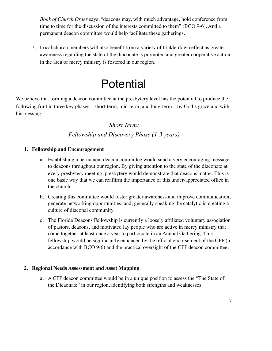*Book of Church Order* says, "deacons may, with much advantage, hold conference from time to time for the discussion of the interests committed to them" (BCO 9-6). And a permanent deacon committee would help facilitate these gatherings.

3. Local church members will also benefit from a variety of trickle-down effect as greater awareness regarding the state of the diaconate is promoted and greater cooperative action in the area of mercy ministry is fostered in our region.

### **Potential**

We believe that forming a deacon committee at the presbytery level has the potential to produce the following fruit in three key phases—short-term, mid-term, and long-term—by God's grace and with his blessing.

#### *Short Term:*

#### *Fellowship and Discovery Phase (1-3 years)*

#### **1. Fellowship and Encouragement**

- a. Establishing a permanent deacon committee would send a very encouraging message to deacons throughout our region. By giving attention to the state of the diaconate at every presbytery meeting, presbytery would demonstrate that deacons matter. This is one basic way that we can reaffirm the importance of this under-appreciated office in the church.
- b. Creating this committee would foster greater awareness and improve communication, generate networking opportunities, and, generally speaking, be catalytic in creating a culture of diaconal community.
- c. The Florida Deacons Fellowship is currently a loosely affiliated voluntary association of pastors, deacons, and motivated lay people who are active in mercy ministry that come together at least once a year to participate in an Annual Gathering. This fellowship would be significantly enhanced by the official endorsement of the CFP (in accordance with BCO 9-6) and the practical oversight of the CFP deacon committee.

#### **2. Regional Needs Assessment and Asset Mapping**

a. A CFP deacon committee would be in a unique position to assess the "The State of the Dicaonate" in our region, identifying both strengths and weaknesses.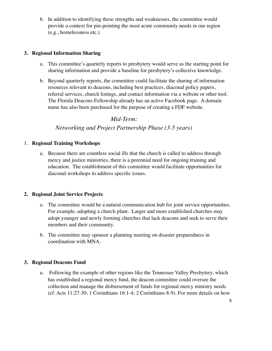b. In addition to identifying these strengths and weaknesses, the committee would provide a context for pin-pointing the most acute community needs in our region (e.g., homelessness etc.)

#### **3. Regional Information Sharing**

- a. This committee's quarterly reports to presbytery would serve as the starting point for sharing information and provide a baseline for presbytery's collective knowledge.
- b. Beyond quarterly reports, the committee could facilitate the sharing of information resources relevant to deacons, including best practices, diaconal policy papers, referral services, church listings, and contact information via a website or other tool. The Florida Deacons Fellowship already has an active Facebook page. A domain name has also been purchased for the purpose of creating a FDF website.

#### *Mid-Term:*

#### *Networking and Project Partnership Phase (3-5 years)*

#### 1. **Regional Training Workshops**

a. Because there are countless social ills that the church is called to address through mercy and justice ministries, there is a perennial need for ongoing training and education. The establishment of this committee would facilitate opportunities for diaconal workshops to address specific issues.

#### **2. Regional Joint Service Projects**

- a. The committee would be a natural communication hub for joint service opportunities. For example, adopting a church plant. Larger and more established churches may adopt younger and newly forming churches that lack deacons and seek to serve their members and their community.
- b. The committee may sponsor a planning meeting on disaster preparedness in coordination with MNA.

#### **3. Regional Deacons Fund**

a. Following the example of other regions like the Tennessee Valley Presbytery, which has established a regional mercy fund, the deacon committee could oversee the collection and manage the disbursement of funds for regional mercy ministry needs (cf. Acts 11:27-30; 1 Corinthians 16:1-4; 2 Corinthians 8-9). For more details on how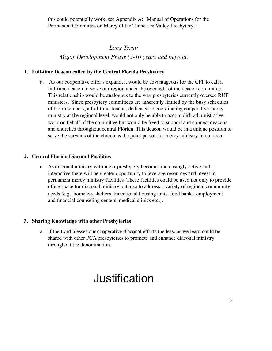this could potentially work, see Appendix A: "Manual of Operations for the Permanent Committee on Mercy of the Tennessee Valley Presbytery."

*Long Term: Major Development Phase (5-10 years and beyond)* 

#### **1. Full-time Deacon called by the Central Florida Presbytery**

a. As our cooperative efforts expand, it would be advantageous for the CFP to call a full-time deacon to serve our region under the oversight of the deacon committee. This relationship would be analogous to the way presbyteries currently oversee RUF ministers. Since presbytery committees are inherently limited by the busy schedules of their members, a full-time deacon, dedicated to coordinating cooperative mercy ministry at the regional level, would not only be able to accomplish administrative work on behalf of the committee but would be freed to support and connect deacons and churches throughout central Florida. This deacon would be in a unique position to serve the servants of the church as the point person for mercy ministry in our area.

#### **2. Central Florida Diaconal Facilities**

a. As diaconal ministry within our presbytery becomes increasingly active and interactive there will be greater opportunity to leverage resources and invest in permanent mercy ministry facilities. These facilities could be used not only to provide office space for diaconal ministry but also to address a variety of regional community needs (e.g., homeless shelters, transitional housing units, food banks, employment and financial counseling centers, medical clinics etc.).

#### **3. Sharing Knowledge with other Presbyteries**

a. If the Lord blesses our cooperative diaconal efforts the lessons we learn could be shared with other PCA presbyteries to promote and enhance diaconal ministry throughout the denomination.

### Justification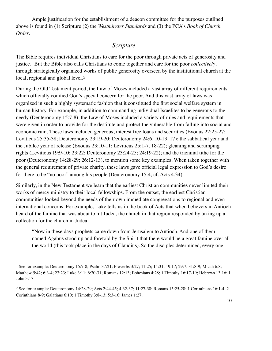Ample justification for the establishment of a deacon committee for the purposes outlined above is found in (1) Scripture (2) the *Westminster Standards* and (3) the PCA's *Book of Church Order*.

#### <span id="page-9-3"></span>*Scripture*

<span id="page-9-2"></span>The Bible requires individual Christians to care for the poor through private acts of generosity and justice[.](#page-9-0)<sup>1</sup> But the Bible also calls Christians to come together and care for the poor *collectively*, through strategically organized works of public generosity overseen by the institutional church at the local, regional and global level[.2](#page-9-1)

During the Old Testament period, the Law of Moses included a vast array of different requirements which officially codified God's special concern for the poor. And this vast array of laws was organized in such a highly systematic fashion that it constituted the first social welfare system in human history. For example, in addition to commanding individual Israelites to be generous to the needy (Deuteronomy 15:7-8), the Law of Moses included a variety of rules and requirements that were given in order to provide for the destitute and protect the vulnerable from falling into social and economic ruin. These laws included generous, interest free loans and securities (Exodus 22:25-27; Leviticus 25:35-38; Deuteronomy 23:19-20; Deuteronomy 24:6, 10-13, 17); the sabbatical year and the Jubilee year of release (Exodus 23:10-11; Leviticus 25:1-7, 18-22); gleaning and scrumping rights (Leviticus 19:9-10; 23:22; Deuteronomy 23:24-25; 24:19-22); and the triennial tithe for the poor (Deuteronomy 14:28-29; 26:12-13), to mention some key examples. When taken together with the general requirement of private charity, these laws gave official legal expression to God's desire for there to be "no poor" among his people (Deuteronomy 15:4; cf. Acts 4:34).

Similarly, in the New Testament we learn that the earliest Christian communities never limited their works of mercy ministry to their local fellowships. From the outset, the earliest Christian communities looked beyond the needs of their own immediate congregations to regional and even international concerns. For example, Luke tells us in the book of Acts that when believers in Antioch heard of the famine that was about to hit Judea, the church in that region responded by taking up a collection for the church in Judea.

"Now in these days prophets came down from Jerusalem to Antioch. And one of them named Agabus stood up and foretold by the Spirit that there would be a great famine over all the world (this took place in the days of Claudius). So the disciples determined, every one

<span id="page-9-0"></span>[<sup>1</sup>](#page-9-2) See for example: Deuteronomy 15:7-8; Psalm 37:21; Proverbs 3:27; 11:25; 14:31; 19:17; 29:7; 31:8-9; Micah 6:8; Matthew 5:42; 6:3-4; 23:23; Luke 3:11; 6:30-31; Romans 12:13; Ephesians 4:28; 1 Timothy 16:17-19; Hebrews 13:16; 1 John 3:17

<span id="page-9-1"></span>[<sup>2</sup>](#page-9-3) See for example: Deuteronomy 14:28-29; Acts 2:44-45; 4:32-37; 11:27-30; Romans 15:25-28; 1 Corinthians 16:1-4; 2 Corinthians 8-9; Galatians 6:10; 1 Timothy 3:8-13; 5:3-16; James 1:27.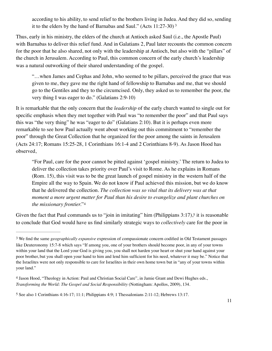<span id="page-10-3"></span>according to his ability, to send relief to the brothers living in Judea. And they did so, sending it to the elders by the hand of Barnabas and Saul." (Acts 11:27-30) [3](#page-10-0)

Thus, early in his ministry, the elders of the church at Antioch asked Saul (i.e., the Apostle Paul) with Barnabas to deliver this relief fund. And in Galatians 2, Paul later recounts the common concern for the poor that he also shared, not only with the leadership at Antioch, but also with the "pillars" of the church in Jerusalem. According to Paul, this common concern of the early church's leadership was a natural outworking of their shared understanding of the gospel.

"…when James and Cephas and John, who seemed to be pillars, perceived the grace that was given to me, they gave me the right hand of fellowship to Barnabas and me, that we should go to the Gentiles and they to the circumcised. Only, they asked us to remember the poor, the very thing I was eager to do." (Galatians 2:9-10)

It is remarkable that the only concern that the *leadership* of the early church wanted to single out for specific emphasis when they met together with Paul was "to remember the poor" and that Paul says this was "the very thing" he was "eager to do" (Galatians 2:10). But it is perhaps even more remarkable to see how Paul actually went about working out this commitment to "remember the poor" through the Great Collection that he organized for the poor among the saints in Jerusalem (Acts 24:17; Romans 15:25-28, 1 Corinthians 16:1-4 and 2 Corinthians 8-9). As Jason Hood has observed,

<span id="page-10-5"></span><span id="page-10-4"></span>"For Paul, care for the poor cannot be pitted against 'gospel ministry.' The return to Judea to deliver the collection takes priority over Paul's visit to Rome. As he explains in Romans (Rom. 15), this visit was to be the great launch of gospel ministry in the western half of the Empire all the way to Spain. We do not know if Paul achieved this mission, but we do know that he delivered the collection. *The collection was so vital that its delivery was at that moment a more urgent matter for Paul than his desire to evangelize and plant churches on the missionary frontier.*"[4](#page-10-1)

Given the fact that Paul commands us to "join in imitating" him (Philippians  $3:17$ ),<sup>5</sup> it is reasonable to conclude that God would have us find similarly strategic ways to *collectively* care for the poor in

<span id="page-10-0"></span>[<sup>3</sup>](#page-10-3) We find the same *geographically expansive* expression of compassionate concern codified in Old Testament passages like Deuteronomy 15:7-8 which says "If among you, one of your brothers should become poor, in any of your towns within your land that the Lord your God is giving you, you shall not harden your heart or shut your hand against your poor brother, but you shall open your hand to him and lend him sufficient for his need, whatever it may be." Notice that the Israelites were not only responsible to care for Israelites in their own home town but in "any of your towns within your land."

<span id="page-10-1"></span>[<sup>4</sup>](#page-10-4) Jason Hood, "Theology in Action: Paul and Christian Social Care", in Jamie Grant and Dewi Hughes eds., *Transforming the World: The Gospel and Social Responsibility* (Nottingham: Apollos, 2009), 134.

<span id="page-10-2"></span>[<sup>5</sup>](#page-10-5) See also 1 Corinthians 4:16-17; 11:1; Philippians 4:9; 1 Thessalonians 2:11-12; Hebrews 13:17.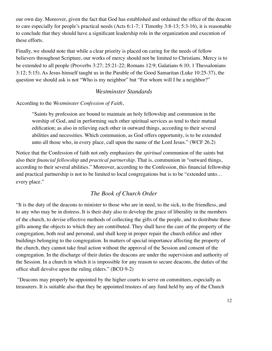our own day. Moreover, given the fact that God has established and ordained the office of the deacon to care especially for people's practical needs (Acts 6:1-7; 1 Timothy 3:8-13; 5:3-16), it is reasonable to conclude that they should have a significant leadership role in the organization and execution of these efforts.

Finally, we should note that while a clear priority is placed on caring for the needs of fellow believers throughout Scripture, our works of mercy should not be limited to Christians. Mercy is to be extended to all people (Proverbs 3:27; 25:21-22; Romans 12:9; Galatians 6:10; 1 Thessalonians 3:12; 5:15). As Jesus himself taught us in the Parable of the Good Samaritan (Luke 10:25-37), the question we should ask is not "Who is my neighbor" but "For whom will I be a neighbor?"

#### *Westminster Standards*

#### According to the *Westminster Confession of Faith*,

"Saints by profession are bound to maintain an holy fellowship and communion in the worship of God, and in performing such other spiritual services as tend to their mutual edification; as also in relieving each other in outward things, according to their several abilities and necessities. Which communion, as God offers opportunity, is to be extended unto all those who, in every place, call upon the name of the Lord Jesus." (WCF 26.2)

Notice that the Confession of faith not only emphasizes the *spiritual* communion of the saints but also their *financial fellowship* and *practical partnership*. That is, communion in "outward things, according to their several abilities." Moreover, according to the Confession, this financial fellowship and practical partnership is not to be limited to local congregations but is to be "extended unto… every place."

#### *The Book of Church Order*

"It is the duty of the deacons to minister to those who are in need, to the sick, to the friendless, and to any who may be in distress. It is their duty also to develop the grace of liberality in the members of the church, to devise effective methods of collecting the gifts of the people, and to distribute these gifts among the objects to which they are contributed. They shall have the care of the property of the congregation, both real and personal, and shall keep in proper repair the church edifice and other buildings belonging to the congregation. In matters of special importance affecting the property of the church, they cannot take final action without the approval of the Session and consent of the congregation. In the discharge of their duties the deacons are under the supervision and authority of the Session. In a church in which it is impossible for any reason to secure deacons, the duties of the office shall devolve upon the ruling elders." (BCO 9-2)

 "Deacons may properly be appointed by the higher courts to serve on committees, especially as treasurers. It is suitable also that they be appointed trustees of any fund held by any of the Church